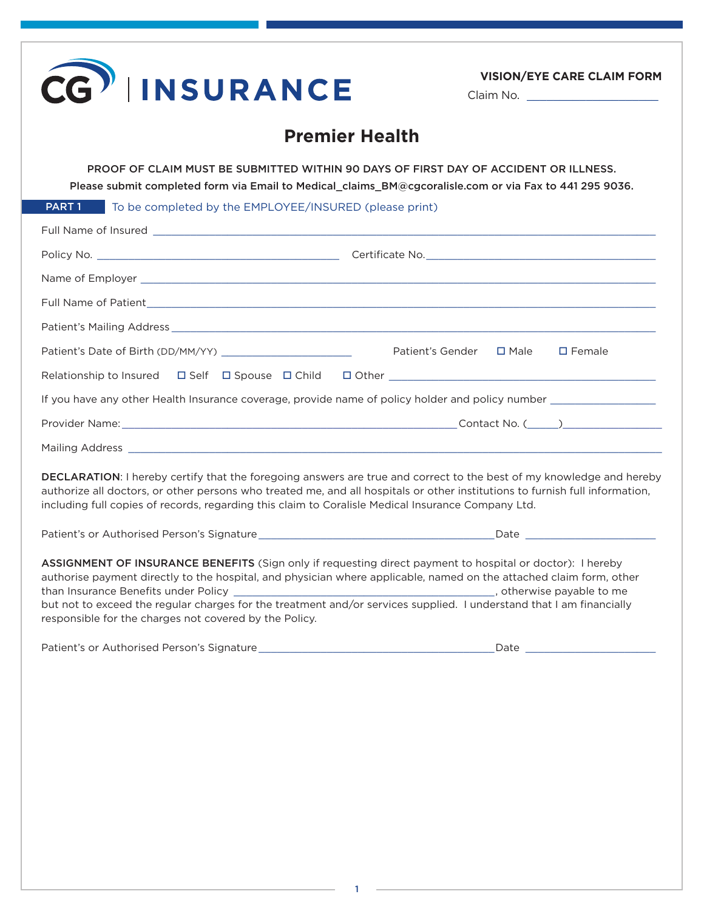| <b>Premier Health</b><br>PROOF OF CLAIM MUST BE SUBMITTED WITHIN 90 DAYS OF FIRST DAY OF ACCIDENT OR ILLNESS.<br>Please submit completed form via Email to Medical_claims_BM@cgcoralisle.com or via Fax to 441 295 9036.<br>PART 1<br>To be completed by the EMPLOYEE/INSURED (please print)                                                                                                                       |                                             |
|--------------------------------------------------------------------------------------------------------------------------------------------------------------------------------------------------------------------------------------------------------------------------------------------------------------------------------------------------------------------------------------------------------------------|---------------------------------------------|
|                                                                                                                                                                                                                                                                                                                                                                                                                    |                                             |
|                                                                                                                                                                                                                                                                                                                                                                                                                    |                                             |
|                                                                                                                                                                                                                                                                                                                                                                                                                    |                                             |
|                                                                                                                                                                                                                                                                                                                                                                                                                    |                                             |
|                                                                                                                                                                                                                                                                                                                                                                                                                    |                                             |
|                                                                                                                                                                                                                                                                                                                                                                                                                    |                                             |
|                                                                                                                                                                                                                                                                                                                                                                                                                    |                                             |
|                                                                                                                                                                                                                                                                                                                                                                                                                    |                                             |
|                                                                                                                                                                                                                                                                                                                                                                                                                    | Patient's Gender □ Male<br>$\square$ Female |
|                                                                                                                                                                                                                                                                                                                                                                                                                    |                                             |
| If you have any other Health Insurance coverage, provide name of policy holder and policy number _____________                                                                                                                                                                                                                                                                                                     |                                             |
|                                                                                                                                                                                                                                                                                                                                                                                                                    |                                             |
|                                                                                                                                                                                                                                                                                                                                                                                                                    |                                             |
| DECLARATION: I hereby certify that the foregoing answers are true and correct to the best of my knowledge and hereby<br>authorize all doctors, or other persons who treated me, and all hospitals or other institutions to furnish full information,<br>including full copies of records, regarding this claim to Coralisle Medical Insurance Company Ltd.                                                         |                                             |
|                                                                                                                                                                                                                                                                                                                                                                                                                    |                                             |
| ASSIGNMENT OF INSURANCE BENEFITS (Sign only if requesting direct payment to hospital or doctor): I hereby<br>authorise payment directly to the hospital, and physician where applicable, named on the attached claim form, other<br>but not to exceed the regular charges for the treatment and/or services supplied. I understand that I am financially<br>responsible for the charges not covered by the Policy. |                                             |
|                                                                                                                                                                                                                                                                                                                                                                                                                    |                                             |

1